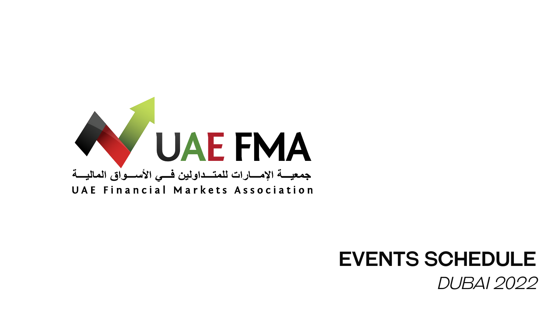# UAE FMA جمعيسة الإمسارات للمتسداولين فسي الأسسواق الماليسة UAE Financial Markets Association



# EVENTS SCHEDULE *Dubai 2022*

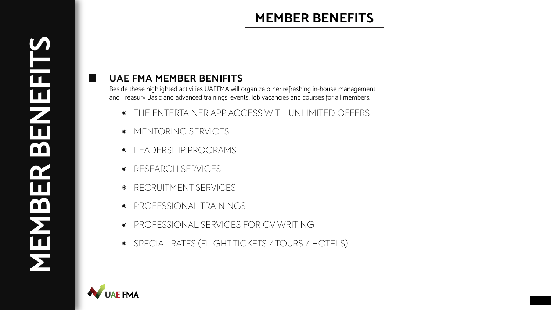# **MEMBER BENEFITS**

## **UAE FMA MEMBER BENIFITS**

- THE ENTERTAINER APP ACCESS WITH UNLIMITED OFFERS
- MENTORING SERVICES
- LEADERSHIP PROGRAMS  $\bigcirc$
- RESEARCH SERVICES  $\odot$
- RECRUITMENT SERVICES  $\odot$
- PROFESSIONAL TRAININGS  $\bigcirc$
- PROFESSIONAL SERVICES FOR CV WRITING  $\odot$
- SPECIAL RATES (FLIGHT TICKETS / TOURS / HOTELS)



ш

# **MEMBER BENEFITS** $\overline{\blacksquare}$  $\mathbf{H}$ **OO**  $\overline{\mathbf{H}}$  $\boxed{\text{m}}$

Beside these highlighted activities UAEFMA will organize other refreshing in-house management and Treasury Basic and advanced trainings, events, Job vacancies and courses for all members.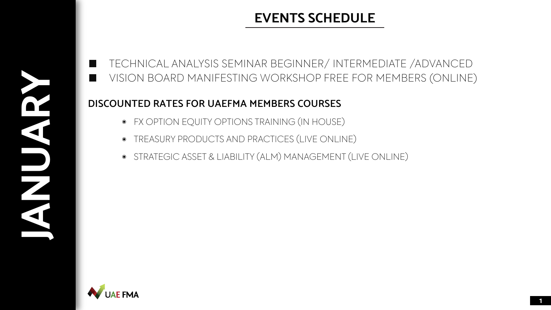**JANUARY CONTROL** 

### H ш

# **EVENTS SCHEDULE**

### **DISCOUNTED RATES FOR UAEFMA MEMBERS COURSES**

VISION BOARD MANIFESTING WORKSHOP FREE FOR MEMBERS (ONLINE) TECHNICAL ANALYSIS SEMINAR BEGINNER/ INTERMEDIATE /ADVANCED

- FX OPTION EQUITY OPTIONS TRAINING (IN HOUSE)
- TREASURY PRODUCTS AND PRACTICES (LIVE ONLINE)
- STRATEGIC ASSET & LIABILITY (ALM) MANAGEMENT (LIVE ONLINE)

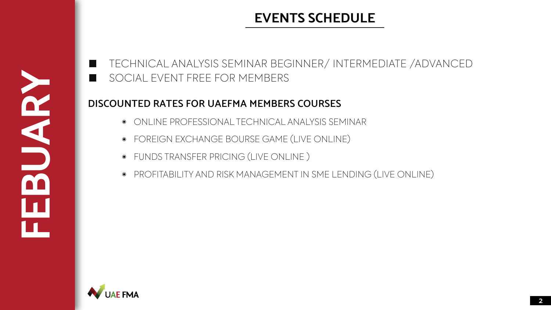

#### II. SOCIAL EVENT FREE FOR MEMBERS

### **DISCOUNTED RATES FOR UAEFMA MEMBERS COURSES**

- $\circ$  ONLINE PROFESSIONAL TECHNICAL ANALYSIS SEMINAR
- FOREIGN EXCHANGE BOURSE GAME (LIVE ONLINE)
- FUNDS TRANSFER PRICING (LIVE ONLINE )
- PROFITABILITY AND RISK MANAGEMENT IN SME LENDING (LIVE ONLINE)



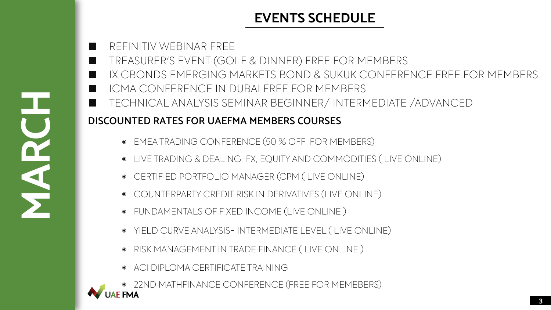**MARCH** 

#### REFINITIV WEBINAR FREE II. TREASURER'S EVENT (GOLF & DINNER) FREE FOR MEMBERS m. **Tale** ICMA CONFERENCE IN DUBAI FREE FOR MEMBERS H. **The Co**

IX CBONDS EMERGING MARKETS BOND & SUKUK CONFERENCE FREE FOR MEMBERS TECHNICAL ANALYSIS SEMINAR BEGINNER/ INTERMEDIATE /ADVANCED

### **DISCOUNTED RATES FOR UAEFMA MEMBERS COURSES**

- EMEA TRADING CONFERENCE (50 % OFF FOR MEMBERS)
- LIVE TRADING & DEALING-FX, EQUITY AND COMMODITIES ( LIVE ONLINE)
- CERTIFIED PORTFOLIO MANAGER (CPM ( LIVE ONLINE)
- COUNTERPARTY CREDIT RISK IN DERIVATIVES (LIVE ONLINE)
- FUNDAMENTALS OF FIXED INCOME (LIVE ONLINE )
- YIELD CURVE ANALYSIS- INTERMEDIATE LEVEL ( LIVE ONLINE)
- RISK MANAGEMENT IN TRADE FINANCE ( LIVE ONLINE )
- ACI DIPLOMA CERTIFICATE TRAINING

**CONFERENCE (FREE FOR MEMEBERS)**<br>UAE FMA

# **EVENTS SCHEDULE**

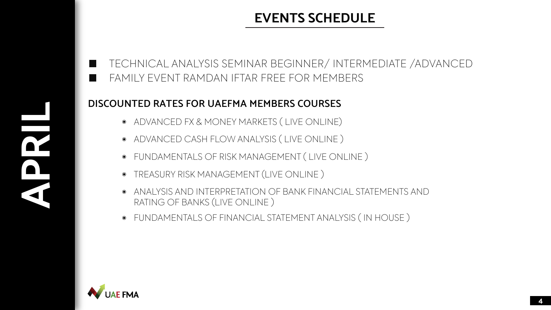**APRILLE DESCRIPTION** 

# **EVENTS SCHEDULE**

### **DISCOUNTED RATES FOR UAEFMA MEMBERS COURSES**

#### TECHNICAL ANALYSIS SEMINAR BEGINNER/ INTERMEDIATE /ADVANCEDH FAMILY EVENT RAMDAN IFTAR FREE FOR MEMBERS H

- ADVANCED FX & MONEY MARKETS ( LIVE ONLINE)
- ADVANCED CASH FLOW ANALYSIS ( LIVE ONLINE )
- FUNDAMENTALS OF RISK MANAGEMENT ( LIVE ONLINE )
- TREASURY RISK MANAGEMENT (LIVE ONLINE )
- ANALYSIS AND INTERPRETATION OF BANK FINANCIAL STATEMENTS AND  $\bullet$ RATING OF BANKS (LIVE ONLINE )
- FUNDAMENTALS OF FINANCIAL STATEMENT ANALYSIS ( IN HOUSE )



**4**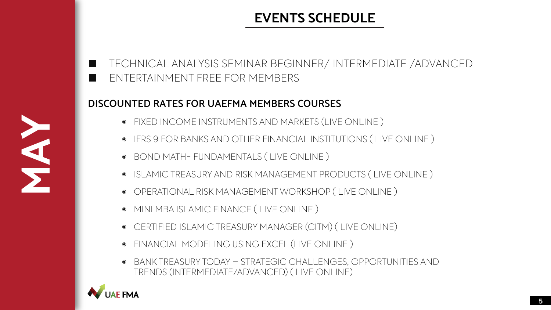#### m. ENTERTAINMENT FREE FOR MEMBERS II.

# **EVENTS SCHEDULE**

### **DISCOUNTED RATES FOR UAEFMA MEMBERS COURSES**

- FIXED INCOME INSTRUMENTS AND MARKETS (LIVE ONLINE )
- IFRS 9 FOR BANKS AND OTHER FINANCIAL INSTITUTIONS ( LIVE ONLINE )
- BOND MATH- FUNDAMENTALS ( LIVE ONLINE )
- ISLAMIC TREASURY AND RISK MANAGEMENT PRODUCTS ( LIVE ONLINE )
- OPERATIONAL RISK MANAGEMENT WORKSHOP ( LIVE ONLINE )
- MINI MBA ISLAMIC FINANCE ( LIVE ONLINE )
- CERTIFIED ISLAMIC TREASURY MANAGER (CITM) ( LIVE ONLINE)
- FINANCIAL MODELING USING EXCEL (LIVE ONLINE )
- BANK TREASURY TODAY STRATEGIC CHALLENGES, OPPORTUNITIES AND TRENDS (INTERMEDIATE/ADVANCED) ( LIVE ONLINE)



**MAY** 

**5**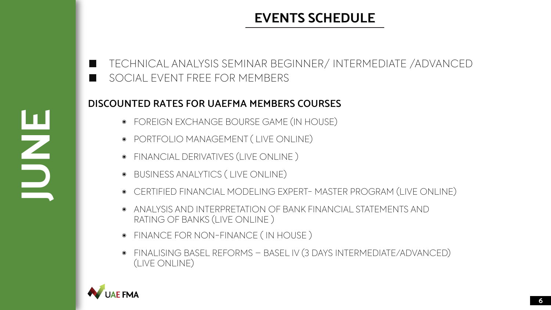**JUNE**

#### m. SOCIAL EVENT FREE FOR MEMBERS m.

### **DISCOUNTED RATES FOR UAEFMA MEMBERS COURSES**

- FOREIGN EXCHANGE BOURSE GAME (IN HOUSE)
- PORTFOLIO MANAGEMENT ( LIVE ONLINE)
- FINANCIAL DERIVATIVES (LIVE ONLINE )
- BUSINESS ANALYTICS ( LIVE ONLINE)
- CERTIFIED FINANCIAL MODELING EXPERT- MASTER PROGRAM (LIVE ONLINE)
- ANALYSIS AND INTERPRETATION OF BANK FINANCIAL STATEMENTS AND  $\bigcirc$ RATING OF BANKS (LIVE ONLINE )
- FINANCE FOR NON-FINANCE ( IN HOUSE )
- FINALISING BASEL REFORMS BASEL IV (3 DAYS INTERMEDIATE/ADVANCED) (LIVE ONLINE)



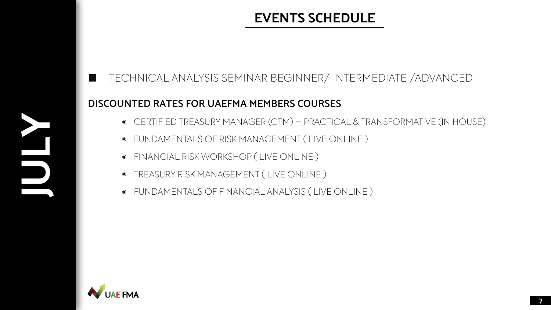#### **DISCOUNTED RATES FOR UAEFMA MEMBERS COURSES**

#### TECHNICAL ANALYSIS SEMINAR BEGINNER/ INTERMEDIATE /ADVANCEDH.

- CERTIFIED TREASURY MANAGER (CTM) PRACTICAL & TRANSFORMATIVE (IN HOUSE)
- FUNDAMENTALS OF RISK MANAGEMENT ( LIVE ONLINE )
- FINANCIAL RISK WORKSHOP ( LIVE ONLINE )
- TREASURY RISK MANAGEMENT ( LIVE ONLINE )
- FUNDAMENTALS OF FINANCIAL ANALYSIS ( LIVE ONLINE )



**JULY 1999** 

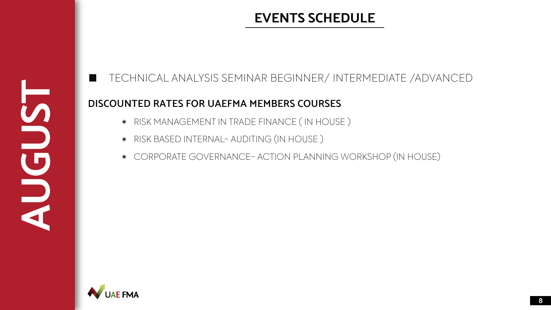**AUGUST** 

# **EVENTS SCHEDULE**

### **DISCOUNTED RATES FOR UAEFMA MEMBERS COURSES**

- RISK MANAGEMENT IN TRADE FINANCE ( IN HOUSE )
- RISK BASED INTERNAL- AUDITING (IN HOUSE )
- CORPORATE GOVERNANCE- ACTION PLANNING WORKSHOP (IN HOUSE)



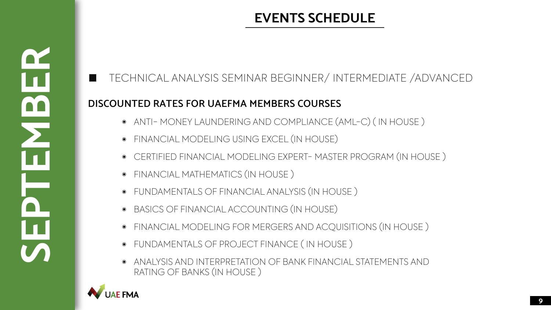.

# **EVENTS SCHEDULE**

### **DISCOUNTED RATES FOR UAEFMA MEMBERS COURSES**

- ANTI- MONEY LAUNDERING AND COMPLIANCE (AML-C) ( IN HOUSE )
- FINANCIAL MODELING USING EXCEL (IN HOUSE)
- CERTIFIED FINANCIAL MODELING EXPERT- MASTER PROGRAM (IN HOUSE )
- FINANCIAL MATHEMATICS (IN HOUSE )
- FUNDAMENTALS OF FINANCIAL ANALYSIS (IN HOUSE )
- BASICS OF FINANCIAL ACCOUNTING (IN HOUSE)
- FINANCIAL MODELING FOR MERGERS AND ACQUISITIONS (IN HOUSE )  $\bullet$
- FUNDAMENTALS OF PROJECT FINANCE ( IN HOUSE )
- ANALYSIS AND INTERPRETATION OF BANK FINANCIAL STATEMENTS AND RATING OF BANKS (IN HOUSE )



**SEPTEMBER** 

 $\blacksquare$ 

m

**9**

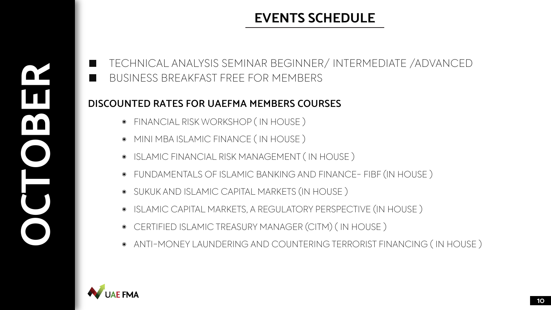**OCTOBER** 

## BUSINESS BREAKFAST FREE FOR MEMBERS **The Second Second**

# **EVENTS SCHEDULE**

### **DISCOUNTED RATES FOR UAEFMA MEMBERS COURSES**

- FINANCIAL RISK WORKSHOP ( IN HOUSE )
- MINI MBA ISLAMIC FINANCE ( IN HOUSE )
- ISLAMIC FINANCIAL RISK MANAGEMENT ( IN HOUSE )
- FUNDAMENTALS OF ISLAMIC BANKING AND FINANCE- FIBF (IN HOUSE )
- SUKUK AND ISLAMIC CAPITAL MARKETS (IN HOUSE )
- ISLAMIC CAPITAL MARKETS, A REGULATORY PERSPECTIVE (IN HOUSE )
- CERTIFIED ISLAMIC TREASURY MANAGER (CITM) ( IN HOUSE )
- ANTI-MONEY LAUNDERING AND COUNTERING TERRORIST FINANCING ( IN HOUSE )



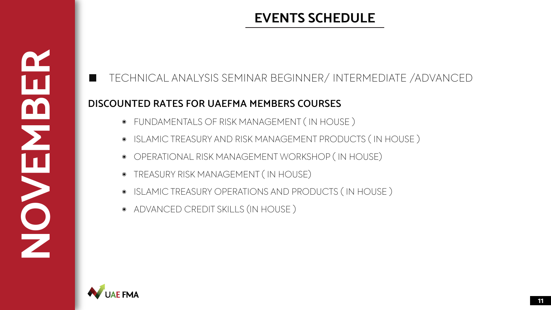### **DISCOUNTED RATES FOR UAEFMA MEMBERS COURSES**



#### TECHNICAL ANALYSIS SEMINAR BEGINNER/ INTERMEDIATE /ADVANCEDa a s

- FUNDAMENTALS OF RISK MANAGEMENT ( IN HOUSE )
- ISLAMIC TREASURY AND RISK MANAGEMENT PRODUCTS ( IN HOUSE )
- OPERATIONAL RISK MANAGEMENT WORKSHOP ( IN HOUSE)
- TREASURY RISK MANAGEMENT ( IN HOUSE)
- ISLAMIC TREASURY OPERATIONS AND PRODUCTS ( IN HOUSE )
- ADVANCED CREDIT SKILLS (IN HOUSE )



**NOVEMBER** 

m

**11**